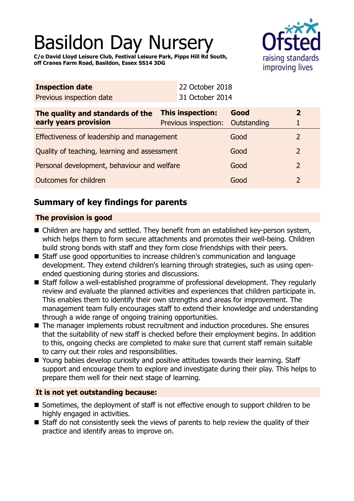# Basildon Day Nursery



**C/o David Lloyd Leisure Club, Festival Leisure Park, Pipps Hill Rd South, off Cranes Farm Road, Basildon, Essex SS14 3DG**

| <b>Inspection date</b>                       |  | 22 October 2018      |             |               |
|----------------------------------------------|--|----------------------|-------------|---------------|
| Previous inspection date                     |  | 31 October 2014      |             |               |
| The quality and standards of the             |  | This inspection:     | Good        | $\mathbf{z}$  |
| early years provision                        |  | Previous inspection: | Outstanding |               |
| Effectiveness of leadership and management   |  |                      | Good        | $\mathcal{L}$ |
| Quality of teaching, learning and assessment |  |                      | Good        | 2             |
| Personal development, behaviour and welfare  |  |                      | Good        | 2             |
| Outcomes for children                        |  |                      | Good        | 2             |

# **Summary of key findings for parents**

## **The provision is good**

- Children are happy and settled. They benefit from an established key-person system, which helps them to form secure attachments and promotes their well-being. Children build strong bonds with staff and they form close friendships with their peers.
- Staff use good opportunities to increase children's communication and language development. They extend children's learning through strategies, such as using openended questioning during stories and discussions.
- Staff follow a well-established programme of professional development. They regularly review and evaluate the planned activities and experiences that children participate in. This enables them to identify their own strengths and areas for improvement. The management team fully encourages staff to extend their knowledge and understanding through a wide range of ongoing training opportunities.
- $\blacksquare$  The manager implements robust recruitment and induction procedures. She ensures that the suitability of new staff is checked before their employment begins. In addition to this, ongoing checks are completed to make sure that current staff remain suitable to carry out their roles and responsibilities.
- Young babies develop curiosity and positive attitudes towards their learning. Staff support and encourage them to explore and investigate during their play. This helps to prepare them well for their next stage of learning.

### **It is not yet outstanding because:**

- Sometimes, the deployment of staff is not effective enough to support children to be highly engaged in activities.
- $\blacksquare$  Staff do not consistently seek the views of parents to help review the quality of their practice and identify areas to improve on.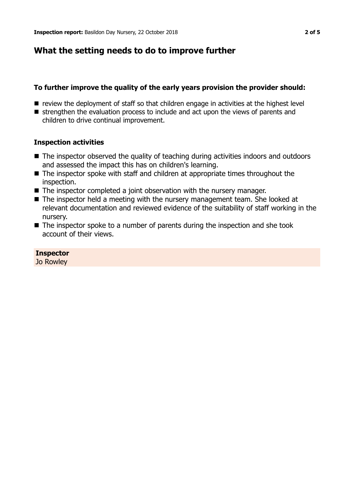# **What the setting needs to do to improve further**

## **To further improve the quality of the early years provision the provider should:**

- $\blacksquare$  review the deployment of staff so that children engage in activities at the highest level
- $\blacksquare$  strengthen the evaluation process to include and act upon the views of parents and children to drive continual improvement.

### **Inspection activities**

- The inspector observed the quality of teaching during activities indoors and outdoors and assessed the impact this has on children's learning.
- $\blacksquare$  The inspector spoke with staff and children at appropriate times throughout the inspection.
- $\blacksquare$  The inspector completed a joint observation with the nursery manager.
- $\blacksquare$  The inspector held a meeting with the nursery management team. She looked at relevant documentation and reviewed evidence of the suitability of staff working in the nursery.
- $\blacksquare$  The inspector spoke to a number of parents during the inspection and she took account of their views.

### **Inspector**

Jo Rowley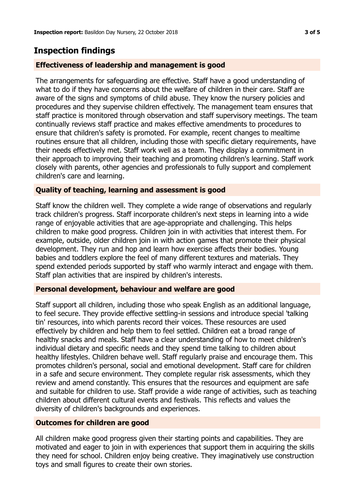# **Inspection findings**

#### **Effectiveness of leadership and management is good**

The arrangements for safeguarding are effective. Staff have a good understanding of what to do if they have concerns about the welfare of children in their care. Staff are aware of the signs and symptoms of child abuse. They know the nursery policies and procedures and they supervise children effectively. The management team ensures that staff practice is monitored through observation and staff supervisory meetings. The team continually reviews staff practice and makes effective amendments to procedures to ensure that children's safety is promoted. For example, recent changes to mealtime routines ensure that all children, including those with specific dietary requirements, have their needs effectively met. Staff work well as a team. They display a commitment in their approach to improving their teaching and promoting children's learning. Staff work closely with parents, other agencies and professionals to fully support and complement children's care and learning.

#### **Quality of teaching, learning and assessment is good**

Staff know the children well. They complete a wide range of observations and regularly track children's progress. Staff incorporate children's next steps in learning into a wide range of enjoyable activities that are age-appropriate and challenging. This helps children to make good progress. Children join in with activities that interest them. For example, outside, older children join in with action games that promote their physical development. They run and hop and learn how exercise affects their bodies. Young babies and toddlers explore the feel of many different textures and materials. They spend extended periods supported by staff who warmly interact and engage with them. Staff plan activities that are inspired by children's interests.

#### **Personal development, behaviour and welfare are good**

Staff support all children, including those who speak English as an additional language, to feel secure. They provide effective settling-in sessions and introduce special 'talking tin' resources, into which parents record their voices. These resources are used effectively by children and help them to feel settled. Children eat a broad range of healthy snacks and meals. Staff have a clear understanding of how to meet children's individual dietary and specific needs and they spend time talking to children about healthy lifestyles. Children behave well. Staff regularly praise and encourage them. This promotes children's personal, social and emotional development. Staff care for children in a safe and secure environment. They complete regular risk assessments, which they review and amend constantly. This ensures that the resources and equipment are safe and suitable for children to use. Staff provide a wide range of activities, such as teaching children about different cultural events and festivals. This reflects and values the diversity of children's backgrounds and experiences.

#### **Outcomes for children are good**

All children make good progress given their starting points and capabilities. They are motivated and eager to join in with experiences that support them in acquiring the skills they need for school. Children enjoy being creative. They imaginatively use construction toys and small figures to create their own stories.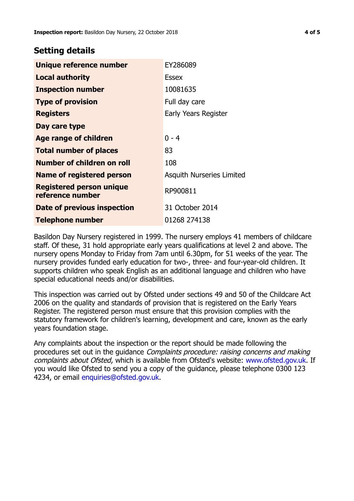## **Setting details**

| Unique reference number                             | EY286089                         |
|-----------------------------------------------------|----------------------------------|
| <b>Local authority</b>                              | <b>Essex</b>                     |
| <b>Inspection number</b>                            | 10081635                         |
| <b>Type of provision</b>                            | Full day care                    |
| <b>Registers</b>                                    | Early Years Register             |
| Day care type                                       |                                  |
| <b>Age range of children</b>                        | $0 - 4$                          |
| <b>Total number of places</b>                       | 83                               |
| Number of children on roll                          | 108                              |
| Name of registered person                           | <b>Asquith Nurseries Limited</b> |
| <b>Registered person unique</b><br>reference number | RP900811                         |
| Date of previous inspection                         | 31 October 2014                  |
| <b>Telephone number</b>                             | 01268 274138                     |

Basildon Day Nursery registered in 1999. The nursery employs 41 members of childcare staff. Of these, 31 hold appropriate early years qualifications at level 2 and above. The nursery opens Monday to Friday from 7am until 6.30pm, for 51 weeks of the year. The nursery provides funded early education for two-, three- and four-year-old children. It supports children who speak English as an additional language and children who have special educational needs and/or disabilities.

This inspection was carried out by Ofsted under sections 49 and 50 of the Childcare Act 2006 on the quality and standards of provision that is registered on the Early Years Register. The registered person must ensure that this provision complies with the statutory framework for children's learning, development and care, known as the early years foundation stage.

Any complaints about the inspection or the report should be made following the procedures set out in the guidance Complaints procedure: raising concerns and making complaints about Ofsted, which is available from Ofsted's website: www.ofsted.gov.uk. If you would like Ofsted to send you a copy of the guidance, please telephone 0300 123 4234, or email [enquiries@ofsted.gov.uk.](mailto:enquiries@ofsted.gov.uk)